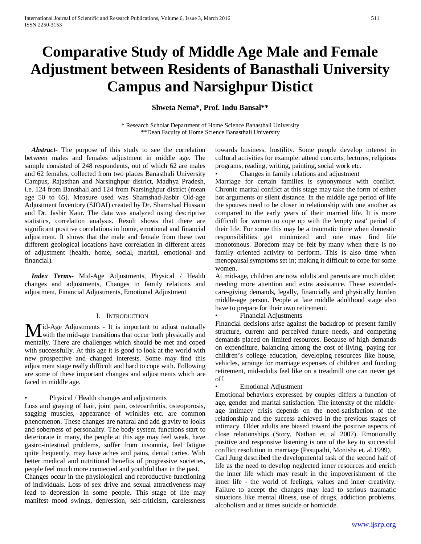# **Comparative Study of Middle Age Male and Female Adjustment between Residents of Banasthali University Campus and Narsighpur Distict**

# **Shweta Nema\*, Prof. Indu Bansal\*\***

\* Research Scholar Department of Home Science Banasthali University \*\*Dean Faculty of Home Science Banasthali University

 *Abstract***-** The purpose of this study to see the correlation between males and females adjustment in middle age. The sample consisted of 248 respondents, out of which 62 are males and 62 females, collected from two places Banasthali University Campus, Rajasthan and Narsinghpur district, Madhya Pradesh, i.e. 124 from Bansthali and 124 from Narsinghpur district (mean age 50 to 65). Measure used was Shamshad-Jasbir Old-age Adjustment Inventory (SJOAI) created by Dr. Shamshad Hussain and Dr. Jasbir Kaur. The data was analyzed using descriptive statistics, correlation analysis. Result shows that there are significant positive correlations in home, emotional and financial adjustment. It shows that the male and female from these two different geological locations have correlation in different areas of adjustment (health, home, social, marital, emotional and financial).

 *Index Terms*- Mid-Age Adjustments, Physical / Health changes and adjustments, Changes in family relations and adjustment, Financial Adjustments, Emotional Adjustment

#### I. INTRODUCTION

id-Age Adjustments - It is important to adjust naturally **M** id-Age Adjustments - It is important to adjust naturally with the mid-age transitions that occur both physically and mentally. There are challenges which should be met and coped with successfully. At this age it is good to look at the world with new prospective and changed interests. Some may find this adjustment stage really difficult and hard to cope with. Following are some of these important changes and adjustments which are faced in middle age.

#### • Physical / Health changes and adjustments

Loss and graying of hair, joint pain, osteoarthritis, osteoporosis, sagging muscles, appearance of wrinkles etc. are common phenomenon. These changes are natural and add gravity to looks and soberness of personality. The body system functions start to deteriorate in many, the people at this age may feel weak, have gastro-intestinal problems, suffer from insomnia, feel fatigue quite frequently, may have aches and pains, dental caries. With better medical and nutritional benefits of progressive societies, people feel much more connected and youthful than in the past.

Changes occur in the physiological and reproductive functioning of individuals. Loss of sex drive and sexual attractiveness may lead to depression in some people. This stage of life may manifest mood swings, depression, self-criticism, carelessness

towards business, hostility. Some people develop interest in cultural activities for example: attend concerts, lectures, religious programs, reading, writing, painting, social work etc.

• Changes in family relations and adjustment

Marriage for certain families is synonymous with conflict. Chronic marital conflict at this stage may take the form of either hot arguments or silent distance. In the middle age period of life the spouses need to be closer in relationship with one another as compared to the early years of their married life. It is more difficult for women to cope up with the 'empty nest' period of their life. For some this may be a traumatic time when domestic responsibilities get minimized and one may find life monotonous. Boredom may be felt by many when there is no family oriented activity to perform. This is also time when menopausal symptoms set in; making it difficult to cope for some women.

At mid-age, children are now adults and parents are much older; needing more attention and extra assistance. These extendedcare-giving demands, legally, financially and physically burden middle-age person. People at late middle adulthood stage also have to prepare for their own retirement.

• Financial Adjustments

Financial decisions arise against the backdrop of present family structure, current and perceived future needs, and competing demands placed on limited resources. Because of high demands on expenditure, balancing among the cost of living, paying for children's college education, developing resources like house, vehicles, arrange for marriage expenses of children and funding retirement, mid-adults feel like on a treadmill one can never get off.

## • Emotional Adjustment

Emotional behaviors expressed by couples differs a function of age, gender and marital satisfaction. The intensity of the middleage intimacy crisis depends on the need-satisfaction of the relationship and the success achieved in the previous stages of intimacy. Older adults are biased toward the positive aspects of close relationships (Story, Nathan et. al 2007). Emotionally positive and responsive listening is one of the key to successful conflict resolution in marriage (Pasupathi, Monisha et. al.1999). Carl Jung described the developmental task of the second half of life as the need to develop neglected inner resources and enrich

the inner life which may result in the impoverishment of the inner life - the world of feelings, values and inner creativity. Failure to accept the changes may lead to serious traumatic situations like mental illness, use of drugs, addiction problems, alcoholism and at times suicide or homicide.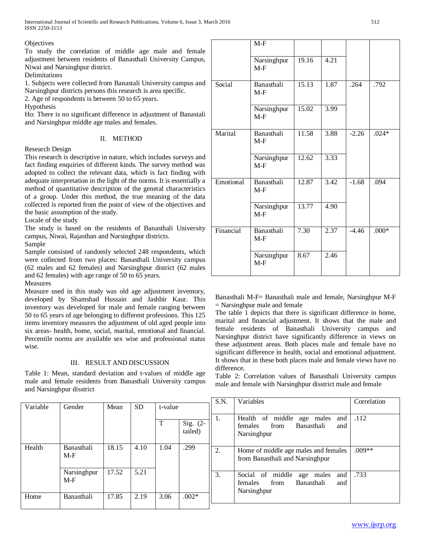## **Objectives**

To study the correlation of middle age male and female adjustment between residents of Banasthali University Campus, Niwai and Narsinghpur district.

**Delimitations** 

1. Subjects were collected from Banastali University campus and Narsinghpur districts persons this research is area specific.

2. Age of respondents is between 50 to 65 years.

Hypothesis

Ho: There is no significant difference in adjustment of Banastali and Narsinghpur middle age males and females.

# II. METHOD

Research Design

This research is descriptive in nature, which includes surveys and fact finding enquiries of different kinds. The survey method was adopted to collect the relevant data, which is fact finding with adequate interpretation in the light of the norms. It is essentially a method of quantitative description of the general characteristics of a group. Under this method, the true meaning of the data collected is reported from the point of view of the objectives and the basic assumption of the study.

Locale of the study

The study is based on the residents of Banasthali University campus, Niwai, Rajasthan and Narsinghpur districts.

Sample

Sample consisted of randomly selected 248 respondents, which were collected from two places: Banasthali University campus (62 males and 62 females) and Narsinghpur district (62 males and 62 females) with age range of 50 to 65 years.

Measures

Measure used in this study was old age adjustment inventory, developed by Shamshad Hussain and Jashbir Kaur. This inventory was developed for male and female ranging between 50 to 65 years of age belonging to different professions. This 125 items inventory measures the adjustment of old aged people into six areas- health, home, social, marital, emotional and financial. Percentile norms are available sex wise and professional status wise.

# III. RESULT AND DISCUSSION

Table 1: Mean, standard deviation and t-values of middle age male and female residents from Banasthali University campus and Narsinghpur disstrict

|           | $M-F$                |       |      |         |         |
|-----------|----------------------|-------|------|---------|---------|
|           | Narsinghpur<br>$M-F$ | 19.16 | 4.21 |         |         |
| Social    | Banasthali<br>$M-F$  | 15.13 | 1.87 | .264    | .792    |
|           | Narsinghpur<br>$M-F$ | 15.02 | 3.99 |         |         |
| Marital   | Banasthali<br>$M-F$  | 11.58 | 3.88 | $-2.26$ | $.024*$ |
|           | Narsinghpur<br>$M-F$ | 12.62 | 3.33 |         |         |
| Emotional | Banasthali<br>$M-F$  | 12.87 | 3.42 | $-1.68$ | .094    |
|           | Narsinghpur<br>$M-F$ | 13.77 | 4.90 |         |         |
| Financial | Banasthali<br>$M-F$  | 7.30  | 2.37 | $-4.46$ | $.000*$ |
|           | Narsinghpur<br>$M-F$ | 8.67  | 2.46 |         |         |

Banasthali M-F= Banasthali male and female, Narsinghpur M-F = Narsinghpur male and female

The table 1 depicts that there is significant difference in home, marital and financial adjustment. It shows that the male and female residents of Banasthali University campus and Narsinghpur district have significantly difference in views on these adjustment areas. Both places male and female have no significant difference in health, social and emotional adjustment. It shows that in these both places male and female views have no difference.

Table 2: Correlation values of Banasthali University campus male and female with Narsinghpur disstrict male and female

|          |                      |       |           |         |                       | S.N. | Variables                                                                                   | Correlation |
|----------|----------------------|-------|-----------|---------|-----------------------|------|---------------------------------------------------------------------------------------------|-------------|
| Variable | Gender               | Mean  | <b>SD</b> | t-value |                       |      |                                                                                             |             |
|          |                      |       |           | т       | Sig. $(2-$<br>tailed) | 1.   | Health of middle<br>and<br>age males<br>from<br>females<br>Banasthali<br>and<br>Narsinghpur | .112        |
| Health   | Banasthali<br>M-F    | 18.15 | 4.10      | 1.04    | .299                  | 2.   | Home of middle age males and females<br>from Banasthali and Narsinghpur                     | $.009**$    |
|          | Narsinghpur<br>$M-F$ | 17.52 | 5.21      |         |                       | 3.   | Social of middle<br>and<br>age males<br>females<br>Banasthali<br>from<br>and<br>Narsinghpur | .733        |
| Home     | Banasthali           | 17.85 | 2.19      | 3.06    | $.002*$               |      |                                                                                             |             |
|          |                      |       |           |         |                       |      |                                                                                             |             |